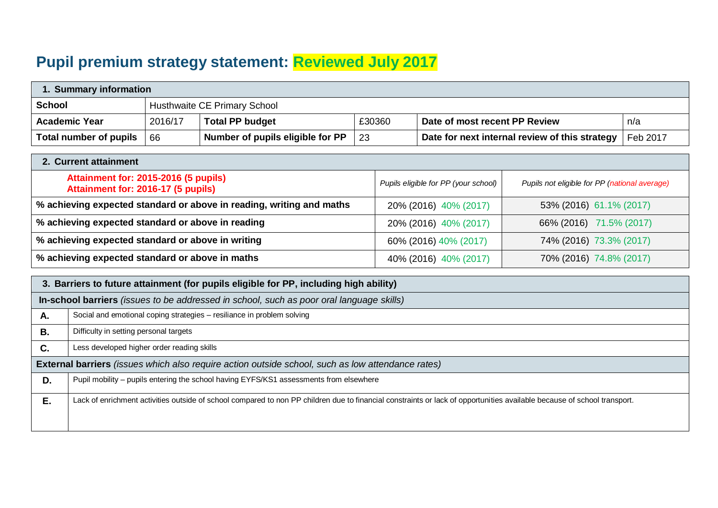## **Pupil premium strategy statement: Reviewed July 2017**

| 1. Summary information |         |                                  |        |                                                |          |  |  |
|------------------------|---------|----------------------------------|--------|------------------------------------------------|----------|--|--|
| School                 |         | Husthwaite CE Primary School     |        |                                                |          |  |  |
| <b>Academic Year</b>   | 2016/17 | <b>Total PP budget</b>           | £30360 | Date of most recent PP Review                  | n/a      |  |  |
| Total number of pupils | -66     | Number of pupils eligible for PP | -23    | Date for next internal review of this strategy | Feb 2017 |  |  |

| 2. Current attainment                                                      |                                      |                                               |  |  |  |  |
|----------------------------------------------------------------------------|--------------------------------------|-----------------------------------------------|--|--|--|--|
| Attainment for: 2015-2016 (5 pupils)<br>Attainment for: 2016-17 (5 pupils) | Pupils eligible for PP (your school) | Pupils not eligible for PP (national average) |  |  |  |  |
| % achieving expected standard or above in reading, writing and maths       | 20% (2016) 40% (2017)                | 53% (2016) 61.1% (2017)                       |  |  |  |  |
| % achieving expected standard or above in reading                          | 20% (2016) 40% (2017)                | 66% (2016) 71.5% (2017)                       |  |  |  |  |
| % achieving expected standard or above in writing                          | 60% (2016) 40% (2017)                | 74% (2016) 73.3% (2017)                       |  |  |  |  |
| % achieving expected standard or above in maths                            | 40% (2016) 40% (2017)                | 70% (2016) 74.8% (2017)                       |  |  |  |  |

|    | 3. Barriers to future attainment (for pupils eligible for PP, including high ability)                                                                                    |  |  |  |  |  |
|----|--------------------------------------------------------------------------------------------------------------------------------------------------------------------------|--|--|--|--|--|
|    | In-school barriers (issues to be addressed in school, such as poor oral language skills)                                                                                 |  |  |  |  |  |
| Α. | Social and emotional coping strategies - resiliance in problem solving                                                                                                   |  |  |  |  |  |
| В. | Difficulty in setting personal targets                                                                                                                                   |  |  |  |  |  |
| C. | Less developed higher order reading skills                                                                                                                               |  |  |  |  |  |
|    | <b>External barriers</b> (issues which also require action outside school, such as low attendance rates)                                                                 |  |  |  |  |  |
| D. | Pupil mobility – pupils entering the school having EYFS/KS1 assessments from elsewhere                                                                                   |  |  |  |  |  |
| Е. | Lack of enrichment activities outside of school compared to non PP children due to financial constraints or lack of opportunities available because of school transport. |  |  |  |  |  |
|    |                                                                                                                                                                          |  |  |  |  |  |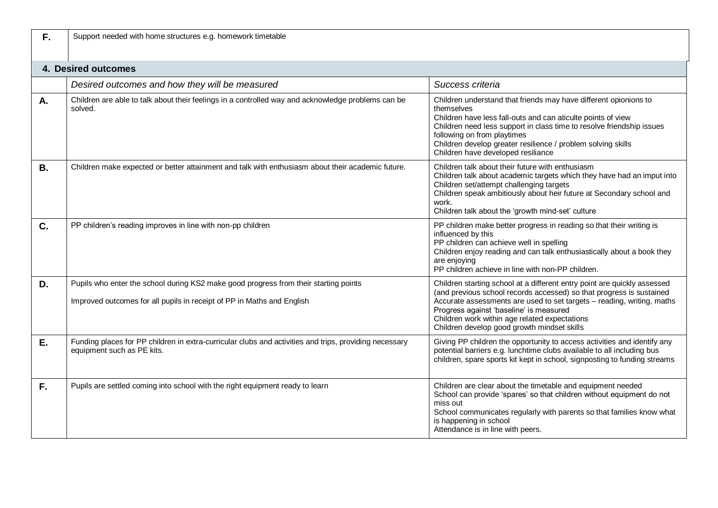| F.        | Support needed with home structures e.g. homework timetable                                                                                                    |                                                                                                                                                                                                                                                                                                                                                                       |
|-----------|----------------------------------------------------------------------------------------------------------------------------------------------------------------|-----------------------------------------------------------------------------------------------------------------------------------------------------------------------------------------------------------------------------------------------------------------------------------------------------------------------------------------------------------------------|
|           | 4. Desired outcomes                                                                                                                                            |                                                                                                                                                                                                                                                                                                                                                                       |
|           | Desired outcomes and how they will be measured                                                                                                                 | Success criteria                                                                                                                                                                                                                                                                                                                                                      |
| А.        | Children are able to talk about their feelings in a controlled way and acknowledge problems can be<br>solved.                                                  | Children understand that friends may have different opionions to<br>themselves<br>Children have less fall-outs and can aticulte points of view<br>Children need less support in class time to resolve friendship issues<br>following on from playtimes<br>Children develop greater resilience / problem solving skills<br>Children have developed resiliance          |
| <b>B.</b> | Children make expected or better attainment and talk with enthusiasm about their academic future.                                                              | Children talk about their future with enthusiasm<br>Children talk about academic targets which they have had an imput into<br>Children set/attempt challenging targets<br>Children speak ambitiously about heir future at Secondary school and<br>work.<br>Children talk about the 'growth mind-set' culture                                                          |
| C.        | PP children's reading improves in line with non-pp children                                                                                                    | PP children make better progress in reading so that their writing is<br>influenced by this<br>PP children can achieve well in spelling<br>Children enjoy reading and can talk enthusiastically about a book they<br>are enjoying<br>PP children achieve in line with non-PP children.                                                                                 |
| D.        | Pupils who enter the school during KS2 make good progress from their starting points<br>Improved outcomes for all pupils in receipt of PP in Maths and English | Children starting school at a different entry point are quickly assessed<br>(and previous school records accessed) so that progress is sustained<br>Accurate assessments are used to set targets - reading, writing, maths<br>Progress against 'baseline' is measured<br>Children work within age related expectations<br>Children develop good growth mindset skills |
| Ε.        | Funding places for PP children in extra-curricular clubs and activities and trips, providing necessary<br>equipment such as PE kits.                           | Giving PP children the opportunity to access activities and identify any<br>potential barriers e.g. lunchtime clubs available to all including bus<br>children, spare sports kit kept in school, signposting to funding streams                                                                                                                                       |
| F.        | Pupils are settled coming into school with the right equipment ready to learn                                                                                  | Children are clear about the timetable and equipment needed<br>School can provide 'spares' so that children without equipment do not<br>miss out<br>School communicates regularly with parents so that families know what<br>is happening in school<br>Attendance is in line with peers.                                                                              |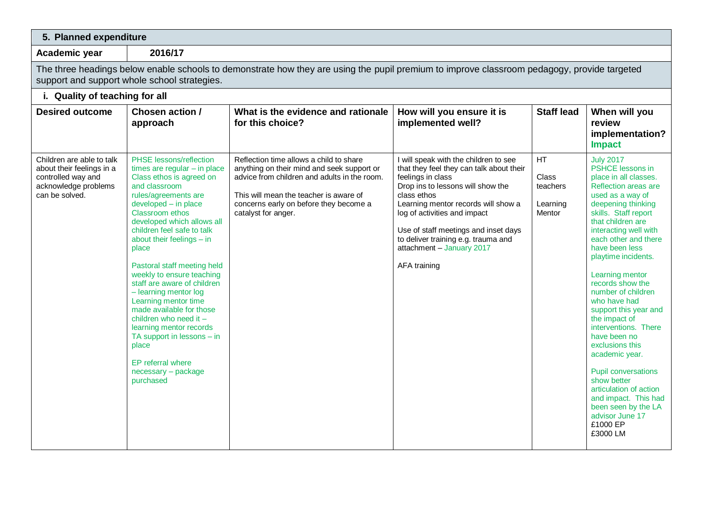| 5. Planned expenditure                                                                                                 |                                                                                                                                                                                                                                                                                                                                                                                                                                                                                                                                                                                                                          |                                                                                                                                                                                                                                                  |                                                                                                                                                                                                                                                                                                                                                               |                                               |                                                                                                                                                                                                                                                                                                                                                                                                                                                                                                                                                                                                                                             |  |
|------------------------------------------------------------------------------------------------------------------------|--------------------------------------------------------------------------------------------------------------------------------------------------------------------------------------------------------------------------------------------------------------------------------------------------------------------------------------------------------------------------------------------------------------------------------------------------------------------------------------------------------------------------------------------------------------------------------------------------------------------------|--------------------------------------------------------------------------------------------------------------------------------------------------------------------------------------------------------------------------------------------------|---------------------------------------------------------------------------------------------------------------------------------------------------------------------------------------------------------------------------------------------------------------------------------------------------------------------------------------------------------------|-----------------------------------------------|---------------------------------------------------------------------------------------------------------------------------------------------------------------------------------------------------------------------------------------------------------------------------------------------------------------------------------------------------------------------------------------------------------------------------------------------------------------------------------------------------------------------------------------------------------------------------------------------------------------------------------------------|--|
| Academic year                                                                                                          | 2016/17                                                                                                                                                                                                                                                                                                                                                                                                                                                                                                                                                                                                                  |                                                                                                                                                                                                                                                  |                                                                                                                                                                                                                                                                                                                                                               |                                               |                                                                                                                                                                                                                                                                                                                                                                                                                                                                                                                                                                                                                                             |  |
|                                                                                                                        | support and support whole school strategies.                                                                                                                                                                                                                                                                                                                                                                                                                                                                                                                                                                             | The three headings below enable schools to demonstrate how they are using the pupil premium to improve classroom pedagogy, provide targeted                                                                                                      |                                                                                                                                                                                                                                                                                                                                                               |                                               |                                                                                                                                                                                                                                                                                                                                                                                                                                                                                                                                                                                                                                             |  |
| i. Quality of teaching for all                                                                                         |                                                                                                                                                                                                                                                                                                                                                                                                                                                                                                                                                                                                                          |                                                                                                                                                                                                                                                  |                                                                                                                                                                                                                                                                                                                                                               |                                               |                                                                                                                                                                                                                                                                                                                                                                                                                                                                                                                                                                                                                                             |  |
| <b>Desired outcome</b>                                                                                                 | Chosen action /<br>approach                                                                                                                                                                                                                                                                                                                                                                                                                                                                                                                                                                                              | What is the evidence and rationale<br>for this choice?                                                                                                                                                                                           | How will you ensure it is<br>implemented well?                                                                                                                                                                                                                                                                                                                | <b>Staff lead</b>                             | When will you<br>review<br>implementation?<br><b>Impact</b>                                                                                                                                                                                                                                                                                                                                                                                                                                                                                                                                                                                 |  |
| Children are able to talk<br>about their feelings in a<br>controlled way and<br>acknowledge problems<br>can be solved. | <b>PHSE</b> lessons/reflection<br>times are regular $-$ in place<br>Class ethos is agreed on<br>and classroom<br>rules/agreements are<br>developed - in place<br><b>Classroom</b> ethos<br>developed which allows all<br>children feel safe to talk<br>about their feelings - in<br>place<br>Pastoral staff meeting held<br>weekly to ensure teaching<br>staff are aware of children<br>- learning mentor log<br>Learning mentor time<br>made available for those<br>children who need it -<br>learning mentor records<br>TA support in lessons $-$ in<br>place<br>EP referral where<br>necessary - package<br>purchased | Reflection time allows a child to share<br>anything on their mind and seek support or<br>advice from children and adults in the room.<br>This will mean the teacher is aware of<br>concerns early on before they become a<br>catalyst for anger. | I will speak with the children to see<br>that they feel they can talk about their<br>feelings in class<br>Drop ins to lessons will show the<br>class ethos<br>Learning mentor records will show a<br>log of activities and impact<br>Use of staff meetings and inset days<br>to deliver training e.g. trauma and<br>attachment - January 2017<br>AFA training | HT<br>Class<br>teachers<br>Learning<br>Mentor | <b>July 2017</b><br>PSHCE lessons in<br>place in all classes.<br>Reflection areas are<br>used as a way of<br>deepening thinking<br>skills. Staff report<br>that children are<br>interacting well with<br>each other and there<br>have been less<br>playtime incidents.<br>Learning mentor<br>records show the<br>number of children<br>who have had<br>support this year and<br>the impact of<br>interventions. There<br>have been no<br>exclusions this<br>academic year.<br><b>Pupil conversations</b><br>show better<br>articulation of action<br>and impact. This had<br>been seen by the LA<br>advisor June 17<br>£1000 EP<br>£3000 LM |  |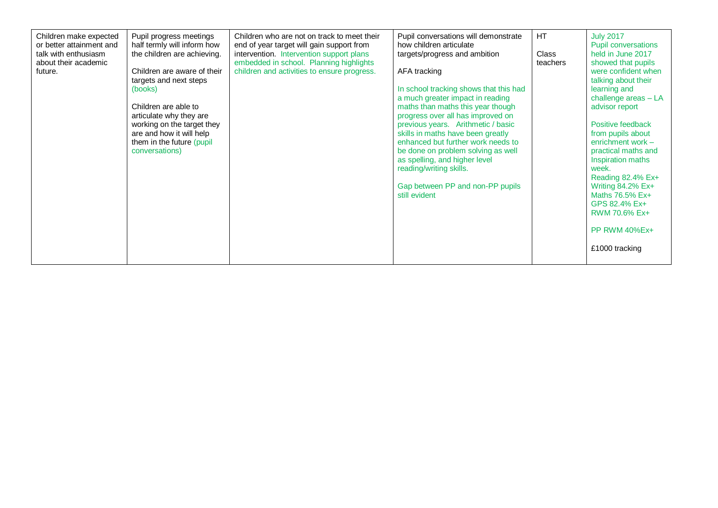| Children make expected<br>or better attainment and<br>talk with enthusiasm<br>about their academic<br>future. | Pupil progress meetings<br>half termly will inform how<br>the children are achieving.<br>Children are aware of their<br>targets and next steps<br>(books)<br>Children are able to<br>articulate why they are<br>working on the target they<br>are and how it will help<br>them in the future (pupil)<br>conversations) | Children who are not on track to meet their<br>end of year target will gain support from<br>intervention. Intervention support plans<br>embedded in school. Planning highlights<br>children and activities to ensure progress. | Pupil conversations will demonstrate<br>how children articulate<br>targets/progress and ambition<br>AFA tracking<br>In school tracking shows that this had<br>a much greater impact in reading<br>maths than maths this year though<br>progress over all has improved on<br>previous years. Arithmetic / basic<br>skills in maths have been greatly<br>enhanced but further work needs to<br>be done on problem solving as well<br>as spelling, and higher level<br>reading/writing skills.<br>Gap between PP and non-PP pupils<br>still evident | HT<br><b>Class</b><br>teachers | <b>July 2017</b><br><b>Pupil conversations</b><br>held in June 2017<br>showed that pupils<br>were confident when<br>talking about their<br>learning and<br>challenge areas - LA<br>advisor report<br>Positive feedback<br>from pupils about<br>enrichment work $-$<br>practical maths and<br>Inspiration maths<br>week.<br>Reading 82.4% Ex+<br>Writing 84.2% Ex+<br>Maths 76.5% Ex+<br>GPS 82.4% Ex+<br><b>RWM 70.6% Ex+</b><br>PP RWM 40%Ex+<br>£1000 tracking |
|---------------------------------------------------------------------------------------------------------------|------------------------------------------------------------------------------------------------------------------------------------------------------------------------------------------------------------------------------------------------------------------------------------------------------------------------|--------------------------------------------------------------------------------------------------------------------------------------------------------------------------------------------------------------------------------|--------------------------------------------------------------------------------------------------------------------------------------------------------------------------------------------------------------------------------------------------------------------------------------------------------------------------------------------------------------------------------------------------------------------------------------------------------------------------------------------------------------------------------------------------|--------------------------------|------------------------------------------------------------------------------------------------------------------------------------------------------------------------------------------------------------------------------------------------------------------------------------------------------------------------------------------------------------------------------------------------------------------------------------------------------------------|
|---------------------------------------------------------------------------------------------------------------|------------------------------------------------------------------------------------------------------------------------------------------------------------------------------------------------------------------------------------------------------------------------------------------------------------------------|--------------------------------------------------------------------------------------------------------------------------------------------------------------------------------------------------------------------------------|--------------------------------------------------------------------------------------------------------------------------------------------------------------------------------------------------------------------------------------------------------------------------------------------------------------------------------------------------------------------------------------------------------------------------------------------------------------------------------------------------------------------------------------------------|--------------------------------|------------------------------------------------------------------------------------------------------------------------------------------------------------------------------------------------------------------------------------------------------------------------------------------------------------------------------------------------------------------------------------------------------------------------------------------------------------------|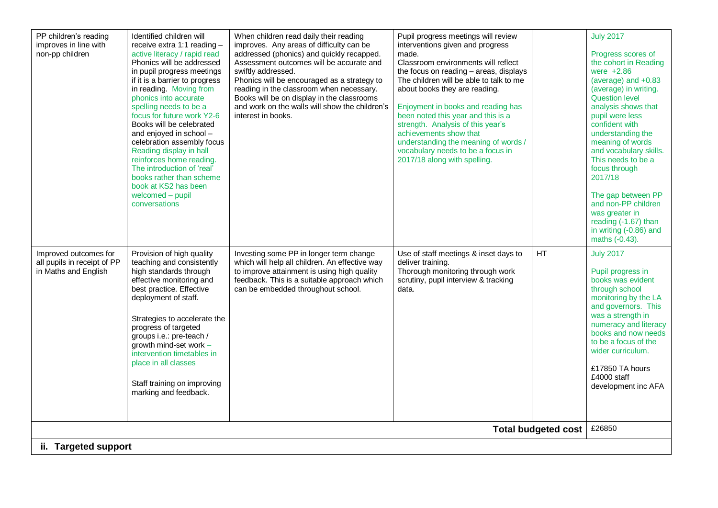| PP children's reading<br>improves in line with<br>non-pp children            | Identified children will<br>receive extra 1:1 reading -<br>active literacy / rapid read<br>Phonics will be addressed<br>in pupil progress meetings<br>if it is a barrier to progress<br>in reading. Moving from<br>phonics into accurate<br>spelling needs to be a<br>focus for future work Y2-6<br>Books will be celebrated<br>and enjoyed in school -<br>celebration assembly focus<br>Reading display in hall<br>reinforces home reading.<br>The introduction of 'real'<br>books rather than scheme<br>book at KS2 has been<br>welcomed - pupil<br>conversations | When children read daily their reading<br>improves. Any areas of difficulty can be<br>addressed (phonics) and quickly recapped.<br>Assessment outcomes will be accurate and<br>swiftly addressed.<br>Phonics will be encouraged as a strategy to<br>reading in the classroom when necessary.<br>Books will be on display in the classrooms<br>and work on the walls will show the children's<br>interest in books. | Pupil progress meetings will review<br>interventions given and progress<br>made.<br>Classroom environments will reflect<br>the focus on reading - areas, displays<br>The children will be able to talk to me<br>about books they are reading.<br>Enjoyment in books and reading has<br>been noted this year and this is a<br>strength. Analysis of this year's<br>achievements show that<br>understanding the meaning of words /<br>vocabulary needs to be a focus in<br>2017/18 along with spelling. |                            | <b>July 2017</b><br>Progress scores of<br>the cohort in Reading<br>were $+2.86$<br>(average) and +0.83<br>(average) in writing.<br><b>Question level</b><br>analysis shows that<br>pupil were less<br>confident with<br>understanding the<br>meaning of words<br>and vocabulary skills.<br>This needs to be a<br>focus through<br>2017/18<br>The gap between PP<br>and non-PP children<br>was greater in<br>reading (-1.67) than<br>in writing (-0.86) and<br>maths (-0.43). |  |  |  |
|------------------------------------------------------------------------------|---------------------------------------------------------------------------------------------------------------------------------------------------------------------------------------------------------------------------------------------------------------------------------------------------------------------------------------------------------------------------------------------------------------------------------------------------------------------------------------------------------------------------------------------------------------------|--------------------------------------------------------------------------------------------------------------------------------------------------------------------------------------------------------------------------------------------------------------------------------------------------------------------------------------------------------------------------------------------------------------------|-------------------------------------------------------------------------------------------------------------------------------------------------------------------------------------------------------------------------------------------------------------------------------------------------------------------------------------------------------------------------------------------------------------------------------------------------------------------------------------------------------|----------------------------|------------------------------------------------------------------------------------------------------------------------------------------------------------------------------------------------------------------------------------------------------------------------------------------------------------------------------------------------------------------------------------------------------------------------------------------------------------------------------|--|--|--|
| Improved outcomes for<br>all pupils in receipt of PP<br>in Maths and English | Provision of high quality<br>teaching and consistently<br>high standards through<br>effective monitoring and<br>best practice. Effective<br>deployment of staff.<br>Strategies to accelerate the<br>progress of targeted<br>groups i.e.: pre-teach /<br>growth mind-set work -<br>intervention timetables in<br>place in all classes<br>Staff training on improving<br>marking and feedback.                                                                                                                                                                        | Investing some PP in longer term change<br>which will help all children. An effective way<br>to improve attainment is using high quality<br>feedback. This is a suitable approach which<br>can be embedded throughout school.                                                                                                                                                                                      | Use of staff meetings & inset days to<br>deliver training.<br>Thorough monitoring through work<br>scrutiny, pupil interview & tracking<br>data.                                                                                                                                                                                                                                                                                                                                                       | HT                         | <b>July 2017</b><br>Pupil progress in<br>books was evident<br>through school<br>monitoring by the LA<br>and governors. This<br>was a strength in<br>numeracy and literacy<br>books and now needs<br>to be a focus of the<br>wider curriculum.<br>£17850 TA hours<br>£4000 staff<br>development inc AFA<br>£26850                                                                                                                                                             |  |  |  |
|                                                                              |                                                                                                                                                                                                                                                                                                                                                                                                                                                                                                                                                                     |                                                                                                                                                                                                                                                                                                                                                                                                                    |                                                                                                                                                                                                                                                                                                                                                                                                                                                                                                       | <b>Total budgeted cost</b> |                                                                                                                                                                                                                                                                                                                                                                                                                                                                              |  |  |  |
|                                                                              | ii. Targeted support                                                                                                                                                                                                                                                                                                                                                                                                                                                                                                                                                |                                                                                                                                                                                                                                                                                                                                                                                                                    |                                                                                                                                                                                                                                                                                                                                                                                                                                                                                                       |                            |                                                                                                                                                                                                                                                                                                                                                                                                                                                                              |  |  |  |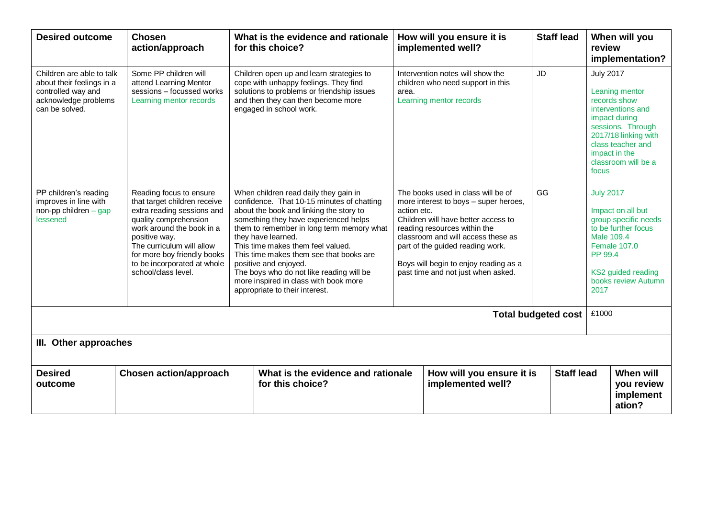| <b>Desired outcome</b>                                                                                                 | <b>Chosen</b><br>action/approach                                                                                                                                                                                                                                               | What is the evidence and rationale<br>for this choice?                                                                                                                                                                                                                                                                                                                                                                                                                                                                                                                                                                                                                                                                                                                                                         |       | How will you ensure it is<br>implemented well?                                                   | <b>Staff lead</b>                                 |                                                                                                                                                                                                             | When will you<br>review<br>implementation?     |
|------------------------------------------------------------------------------------------------------------------------|--------------------------------------------------------------------------------------------------------------------------------------------------------------------------------------------------------------------------------------------------------------------------------|----------------------------------------------------------------------------------------------------------------------------------------------------------------------------------------------------------------------------------------------------------------------------------------------------------------------------------------------------------------------------------------------------------------------------------------------------------------------------------------------------------------------------------------------------------------------------------------------------------------------------------------------------------------------------------------------------------------------------------------------------------------------------------------------------------------|-------|--------------------------------------------------------------------------------------------------|---------------------------------------------------|-------------------------------------------------------------------------------------------------------------------------------------------------------------------------------------------------------------|------------------------------------------------|
| Children are able to talk<br>about their feelings in a<br>controlled way and<br>acknowledge problems<br>can be solved. | Some PP children will<br>attend Learning Mentor<br>sessions - focussed works<br>Learning mentor records                                                                                                                                                                        | Children open up and learn strategies to<br>cope with unhappy feelings. They find<br>solutions to problems or friendship issues<br>and then they can then become more<br>engaged in school work.                                                                                                                                                                                                                                                                                                                                                                                                                                                                                                                                                                                                               | area. | Intervention notes will show the<br>children who need support in this<br>Learning mentor records | <b>JD</b>                                         | <b>July 2017</b><br>Leaning mentor<br>records show<br>interventions and<br>impact during<br>sessions. Through<br>2017/18 linking with<br>class teacher and<br>impact in the<br>classroom will be a<br>focus |                                                |
| PP children's reading<br>improves in line with<br>non-pp children $-$ gap<br>lessened                                  | Reading focus to ensure<br>that target children receive<br>extra reading sessions and<br>quality comprehension<br>work around the book in a<br>positive way.<br>The curriculum will allow<br>for more boy friendly books<br>to be incorporated at whole<br>school/class level. | GG<br>When children read daily they gain in<br>The books used in class will be of<br>confidence. That 10-15 minutes of chatting<br>more interest to boys - super heroes,<br>about the book and linking the story to<br>action etc.<br>something they have experienced helps<br>Children will have better access to<br>them to remember in long term memory what<br>reading resources within the<br>they have learned.<br>classroom and will access these as<br>This time makes them feel valued.<br>part of the guided reading work.<br>This time makes them see that books are<br>Boys will begin to enjoy reading as a<br>positive and enjoyed.<br>The boys who do not like reading will be<br>past time and not just when asked.<br>more inspired in class with book more<br>appropriate to their interest. |       |                                                                                                  | <b>July 2017</b><br>Male 109.4<br>PP 99.4<br>2017 | Impact on all but<br>group specific needs<br>to be further focus<br><b>Female 107.0</b><br>KS2 guided reading<br>books review Autumn                                                                        |                                                |
| <b>Total budgeted cost</b>                                                                                             |                                                                                                                                                                                                                                                                                |                                                                                                                                                                                                                                                                                                                                                                                                                                                                                                                                                                                                                                                                                                                                                                                                                |       |                                                                                                  | £1000                                             |                                                                                                                                                                                                             |                                                |
|                                                                                                                        | III. Other approaches                                                                                                                                                                                                                                                          |                                                                                                                                                                                                                                                                                                                                                                                                                                                                                                                                                                                                                                                                                                                                                                                                                |       |                                                                                                  |                                                   |                                                                                                                                                                                                             |                                                |
| <b>Desired</b><br>outcome                                                                                              | <b>Chosen action/approach</b>                                                                                                                                                                                                                                                  | What is the evidence and rationale<br>for this choice?                                                                                                                                                                                                                                                                                                                                                                                                                                                                                                                                                                                                                                                                                                                                                         |       | How will you ensure it is<br>implemented well?                                                   | <b>Staff lead</b>                                 |                                                                                                                                                                                                             | When will<br>you review<br>implement<br>ation? |